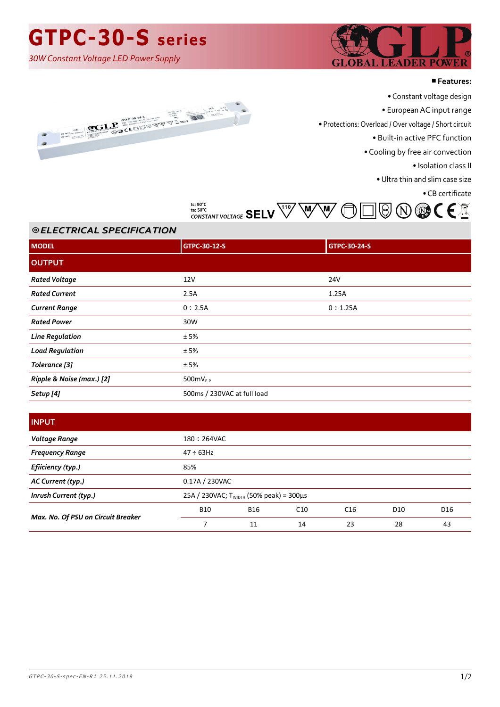# **GTPC-30-S series**

*30W Constant Voltage LED Power Supply*



#### ■**Features:**



- Constant voltage design
- European AC input range

• Protections: Overload / Over voltage / Short circuit

• Built-in active PFC function

• Cooling by free air convection

• Isolation class II

• Ultra thin and slim case size

• CB certificate



### ⦾ *ELECTRICAL SPECIFICATION*

| <b>MODEL</b>              | GTPC-30-12-S                | GTPC-30-24-S   |
|---------------------------|-----------------------------|----------------|
| <b>OUTPUT</b>             |                             |                |
| <b>Rated Voltage</b>      | 12V                         | 24V            |
| <b>Rated Current</b>      | 2.5A                        | 1.25A          |
| <b>Current Range</b>      | $0 \div 2.5A$               | $0 \div 1.25A$ |
| <b>Rated Power</b>        | 30W                         |                |
| <b>Line Regulation</b>    | ±5%                         |                |
| <b>Load Regulation</b>    | ±5%                         |                |
| Tolerance [3]             | ±5%                         |                |
| Ripple & Noise (max.) [2] | $500mV_{P-P}$               |                |
| Setup [4]                 | 500ms / 230VAC at full load |                |

### **INPUT**

| Voltage Range                      | $180 \div 264$ VAC                           |            |     |                 |                 |     |
|------------------------------------|----------------------------------------------|------------|-----|-----------------|-----------------|-----|
| <b>Frequency Range</b>             | $47 \div 63$ Hz                              |            |     |                 |                 |     |
| Efiiciency (typ.)                  | 85%                                          |            |     |                 |                 |     |
| AC Current (typ.)                  | 0.17A / 230VAC                               |            |     |                 |                 |     |
| Inrush Current (typ.)              | 25A / 230VAC; $T_{WIDTH}$ (50% peak) = 300µs |            |     |                 |                 |     |
| Max. No. Of PSU on Circuit Breaker | <b>B10</b>                                   | <b>B16</b> | C10 | C <sub>16</sub> | D <sub>10</sub> | D16 |
|                                    |                                              | 11         | 14  | 23              | 28              | 43  |